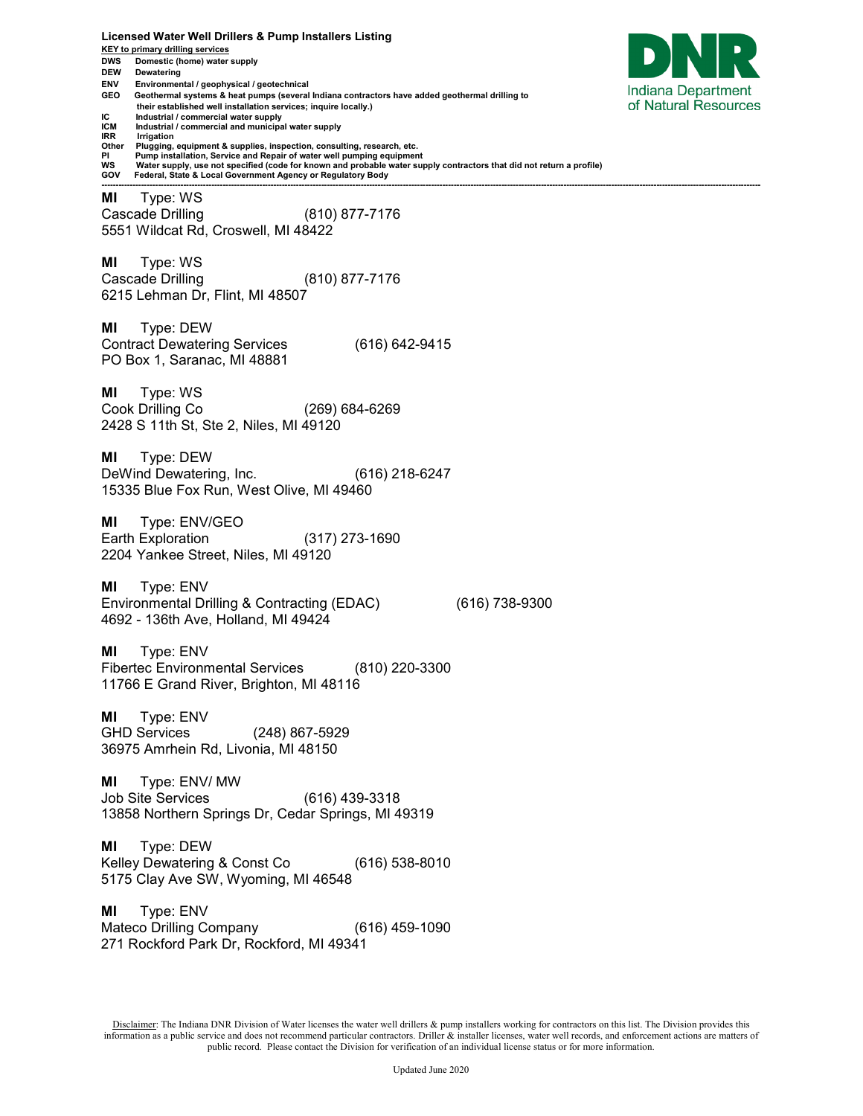**Licensed Water Well Drillers & Pump Installers Listing KEY to primary drilling services DWS Domestic (home) water supply DEW Dewatering ENV Environmental / geophysical / geotechnical**  Indiana Department **GEO Geothermal systems & heat pumps (several Indiana contractors have added geothermal drilling to**  of Natural Resources  **their established well installation services; inquire locally.) IC** Industrial / commercial water supply<br>**ICM** Industrial / commercial and municipal **ICM** Industrial / commercial and municipal water supply<br>**IRR** Irrigation **IRR Irrigation**<br>Other **Plugging Other Plugging, equipment & supplies, inspection, consulting, research, etc. PI Pump installation, Service and Repair of water well pumping equipment WS Water supply, use not specified (code for known and probable water supply contractors that did not return a profile) GOV Federal, State & Local Government Agency or Regulatory Body ------------------------------------------------------------------------------------------------------------------------------------------------------------------------------------------------------------------------------------------ MI** Type: WS Cascade Drilling (810) 877-7176 5551 Wildcat Rd, Croswell, MI 48422 **MI** Type: WS Cascade Drilling (810) 877-7176 6215 Lehman Dr, Flint, MI 48507 **MI** Type: DEW Contract Dewatering Services (616) 642-9415 PO Box 1, Saranac, MI 48881 **MI** Type: WS Cook Drilling Co (269) 684-6269 2428 S 11th St, Ste 2, Niles, MI 49120 **MI** Type: DEW DeWind Dewatering, Inc. (616) 218-6247 15335 Blue Fox Run, West Olive, MI 49460 **MI** Type: ENV/GEO Earth Exploration (317) 273-1690 2204 Yankee Street, Niles, MI 49120 **MI** Type: ENV Environmental Drilling & Contracting (EDAC) (616) 738-9300 4692 - 136th Ave, Holland, MI 49424 **MI** Type: ENV Fibertec Environmental Services (810) 220-3300 11766 E Grand River, Brighton, MI 48116 **MI** Type: ENV GHD Services (248) 867-5929 36975 Amrhein Rd, Livonia, MI 48150 **MI** Type: ENV/ MW Job Site Services (616) 439-3318 13858 Northern Springs Dr, Cedar Springs, MI 49319 **MI** Type: DEW Kelley Dewatering & Const Co (616) 538-8010 5175 Clay Ave SW, Wyoming, MI 46548 **MI** Type: ENV Mateco Drilling Company (616) 459-1090 271 Rockford Park Dr, Rockford, MI 49341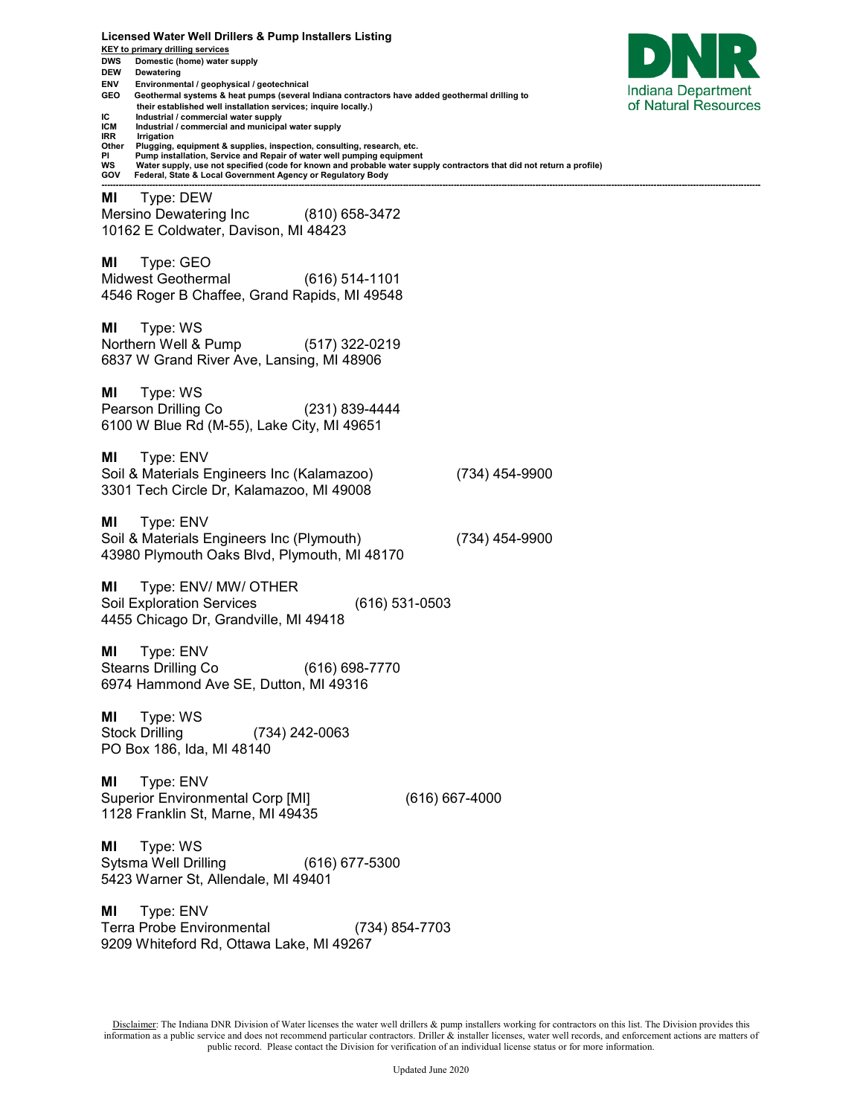**Licensed Water Well Drillers & Pump Installers Listing KEY to primary drilling services DWS Domestic (home) water supply DEW Dewatering ENV Environmental / geophysical / geotechnical**  Indiana Department **GEO Geothermal systems & heat pumps (several Indiana contractors have added geothermal drilling to**  of Natural Resources  **their established well installation services; inquire locally.) IC** Industrial / commercial water supply<br>**ICM** Industrial / commercial and municipal **ICM** Industrial / commercial and municipal water supply<br>**IRR** Irrigation **IRR Irrigation**<br>Other **Plugging Other Plugging, equipment & supplies, inspection, consulting, research, etc. PI Pump installation, Service and Repair of water well pumping equipment WS Water supply, use not specified (code for known and probable water supply contractors that did not return a profile) GOV Federal, State & Local Government Agency or Regulatory Body ------------------------------------------------------------------------------------------------------------------------------------------------------------------------------------------------------------------------------------------ MI** Type: DEW Mersino Dewatering Inc (810) 658-3472 10162 E Coldwater, Davison, MI 48423 **MI** Type: GEO Midwest Geothermal (616) 514-1101 4546 Roger B Chaffee, Grand Rapids, MI 49548 **MI** Type: WS Northern Well & Pump (517) 322-0219 6837 W Grand River Ave, Lansing, MI 48906 **MI** Type: WS Pearson Drilling Co (231) 839-4444 6100 W Blue Rd (M-55), Lake City, MI 49651 **MI** Type: ENV Soil & Materials Engineers Inc (Kalamazoo) (734) 454-9900 3301 Tech Circle Dr, Kalamazoo, MI 49008 **MI** Type: ENV Soil & Materials Engineers Inc (Plymouth) (734) 454-9900 43980 Plymouth Oaks Blvd, Plymouth, MI 48170 **MI** Type: ENV/ MW/ OTHER Soil Exploration Services (616) 531-0503 4455 Chicago Dr, Grandville, MI 49418 **MI** Type: ENV Stearns Drilling Co (616) 698-7770 6974 Hammond Ave SE, Dutton, MI 49316 **MI** Type: WS Stock Drilling (734) 242-0063 PO Box 186, Ida, MI 48140 **MI** Type: ENV Superior Environmental Corp [MI] (616) 667-4000 1128 Franklin St, Marne, MI 49435 **MI** Type: WS Sytsma Well Drilling (616) 677-5300 5423 Warner St, Allendale, MI 49401 **MI** Type: ENV Terra Probe Environmental (734) 854-7703 9209 Whiteford Rd, Ottawa Lake, MI 49267